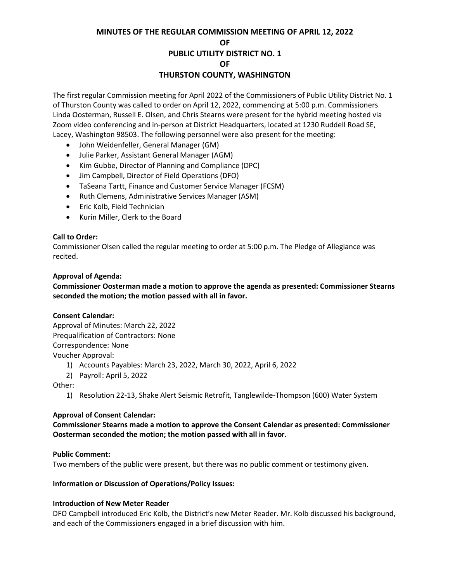# **MINUTES OF THE REGULAR COMMISSION MEETING OF APRIL 12, 2022 OF PUBLIC UTILITY DISTRICT NO. 1 OF THURSTON COUNTY, WASHINGTON**

The first regular Commission meeting for April 2022 of the Commissioners of Public Utility District No. 1 of Thurston County was called to order on April 12, 2022, commencing at 5:00 p.m. Commissioners Linda Oosterman, Russell E. Olsen, and Chris Stearns were present for the hybrid meeting hosted via Zoom video conferencing and in-person at District Headquarters, located at 1230 Ruddell Road SE, Lacey, Washington 98503. The following personnel were also present for the meeting:

- John Weidenfeller, General Manager (GM)
- Julie Parker, Assistant General Manager (AGM)
- Kim Gubbe, Director of Planning and Compliance (DPC)
- Jim Campbell, Director of Field Operations (DFO)
- TaSeana Tartt, Finance and Customer Service Manager (FCSM)
- Ruth Clemens, Administrative Services Manager (ASM)
- Eric Kolb, Field Technician
- Kurin Miller, Clerk to the Board

# **Call to Order:**

Commissioner Olsen called the regular meeting to order at 5:00 p.m. The Pledge of Allegiance was recited.

#### **Approval of Agenda:**

# **Commissioner Oosterman made a motion to approve the agenda as presented: Commissioner Stearns seconded the motion; the motion passed with all in favor.**

#### **Consent Calendar:**

Approval of Minutes: March 22, 2022 Prequalification of Contractors: None Correspondence: None Voucher Approval:

- 1) Accounts Payables: March 23, 2022, March 30, 2022, April 6, 2022
- 2) Payroll: April 5, 2022

Other:

1) Resolution 22-13, Shake Alert Seismic Retrofit, Tanglewilde-Thompson (600) Water System

#### **Approval of Consent Calendar:**

# **Commissioner Stearns made a motion to approve the Consent Calendar as presented: Commissioner Oosterman seconded the motion; the motion passed with all in favor.**

#### **Public Comment:**

Two members of the public were present, but there was no public comment or testimony given.

#### **Information or Discussion of Operations/Policy Issues:**

# **Introduction of New Meter Reader**

DFO Campbell introduced Eric Kolb, the District's new Meter Reader. Mr. Kolb discussed his background, and each of the Commissioners engaged in a brief discussion with him.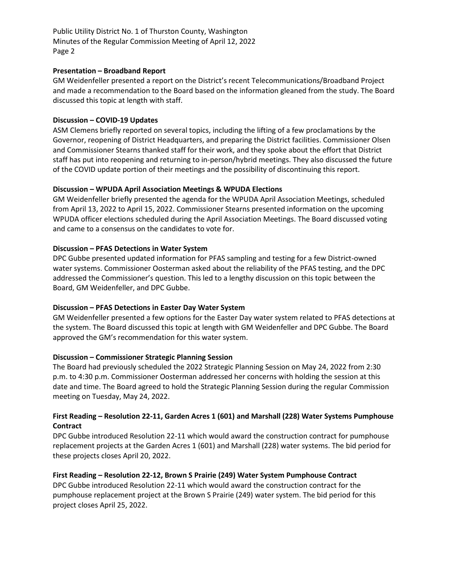Public Utility District No. 1 of Thurston County, Washington Minutes of the Regular Commission Meeting of April 12, 2022 Page 2

#### **Presentation – Broadband Report**

GM Weidenfeller presented a report on the District's recent Telecommunications/Broadband Project and made a recommendation to the Board based on the information gleaned from the study. The Board discussed this topic at length with staff.

#### **Discussion – COVID-19 Updates**

ASM Clemens briefly reported on several topics, including the lifting of a few proclamations by the Governor, reopening of District Headquarters, and preparing the District facilities. Commissioner Olsen and Commissioner Stearns thanked staff for their work, and they spoke about the effort that District staff has put into reopening and returning to in-person/hybrid meetings. They also discussed the future of the COVID update portion of their meetings and the possibility of discontinuing this report.

# **Discussion – WPUDA April Association Meetings & WPUDA Elections**

GM Weidenfeller briefly presented the agenda for the WPUDA April Association Meetings, scheduled from April 13, 2022 to April 15, 2022. Commissioner Stearns presented information on the upcoming WPUDA officer elections scheduled during the April Association Meetings. The Board discussed voting and came to a consensus on the candidates to vote for.

# **Discussion – PFAS Detections in Water System**

DPC Gubbe presented updated information for PFAS sampling and testing for a few District-owned water systems. Commissioner Oosterman asked about the reliability of the PFAS testing, and the DPC addressed the Commissioner's question. This led to a lengthy discussion on this topic between the Board, GM Weidenfeller, and DPC Gubbe.

# **Discussion – PFAS Detections in Easter Day Water System**

GM Weidenfeller presented a few options for the Easter Day water system related to PFAS detections at the system. The Board discussed this topic at length with GM Weidenfeller and DPC Gubbe. The Board approved the GM's recommendation for this water system.

#### **Discussion – Commissioner Strategic Planning Session**

The Board had previously scheduled the 2022 Strategic Planning Session on May 24, 2022 from 2:30 p.m. to 4:30 p.m. Commissioner Oosterman addressed her concerns with holding the session at this date and time. The Board agreed to hold the Strategic Planning Session during the regular Commission meeting on Tuesday, May 24, 2022.

# **First Reading – Resolution 22-11, Garden Acres 1 (601) and Marshall (228) Water Systems Pumphouse Contract**

DPC Gubbe introduced Resolution 22-11 which would award the construction contract for pumphouse replacement projects at the Garden Acres 1 (601) and Marshall (228) water systems. The bid period for these projects closes April 20, 2022.

# **First Reading – Resolution 22-12, Brown S Prairie (249) Water System Pumphouse Contract**

DPC Gubbe introduced Resolution 22-11 which would award the construction contract for the pumphouse replacement project at the Brown S Prairie (249) water system. The bid period for this project closes April 25, 2022.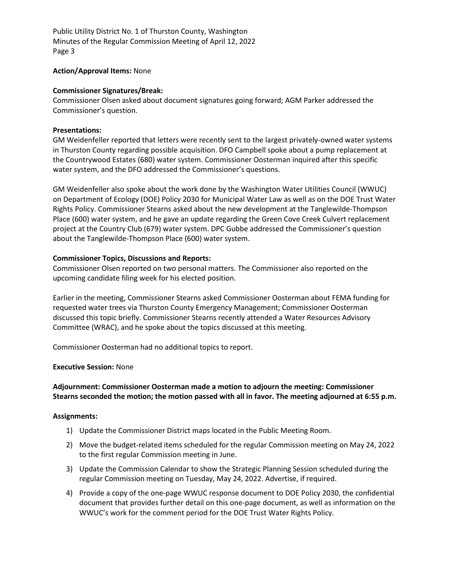Public Utility District No. 1 of Thurston County, Washington Minutes of the Regular Commission Meeting of April 12, 2022 Page 3

#### **Action/Approval Items:** None

#### **Commissioner Signatures/Break:**

Commissioner Olsen asked about document signatures going forward; AGM Parker addressed the Commissioner's question.

#### **Presentations:**

GM Weidenfeller reported that letters were recently sent to the largest privately-owned water systems in Thurston County regarding possible acquisition. DFO Campbell spoke about a pump replacement at the Countrywood Estates (680) water system. Commissioner Oosterman inquired after this specific water system, and the DFO addressed the Commissioner's questions.

GM Weidenfeller also spoke about the work done by the Washington Water Utilities Council (WWUC) on Department of Ecology (DOE) Policy 2030 for Municipal Water Law as well as on the DOE Trust Water Rights Policy. Commissioner Stearns asked about the new development at the Tanglewilde-Thompson Place (600) water system, and he gave an update regarding the Green Cove Creek Culvert replacement project at the Country Club (679) water system. DPC Gubbe addressed the Commissioner's question about the Tanglewilde-Thompson Place (600) water system.

#### **Commissioner Topics, Discussions and Reports:**

Commissioner Olsen reported on two personal matters. The Commissioner also reported on the upcoming candidate filing week for his elected position.

Earlier in the meeting, Commissioner Stearns asked Commissioner Oosterman about FEMA funding for requested water trees via Thurston County Emergency Management; Commissioner Oosterman discussed this topic briefly. Commissioner Stearns recently attended a Water Resources Advisory Committee (WRAC), and he spoke about the topics discussed at this meeting.

Commissioner Oosterman had no additional topics to report.

#### **Executive Session:** None

# **Adjournment: Commissioner Oosterman made a motion to adjourn the meeting: Commissioner Stearns seconded the motion; the motion passed with all in favor. The meeting adjourned at 6:55 p.m.**

# **Assignments:**

- 1) Update the Commissioner District maps located in the Public Meeting Room.
- 2) Move the budget-related items scheduled for the regular Commission meeting on May 24, 2022 to the first regular Commission meeting in June.
- 3) Update the Commission Calendar to show the Strategic Planning Session scheduled during the regular Commission meeting on Tuesday, May 24, 2022. Advertise, if required.
- 4) Provide a copy of the one-page WWUC response document to DOE Policy 2030, the confidential document that provides further detail on this one-page document, as well as information on the WWUC's work for the comment period for the DOE Trust Water Rights Policy.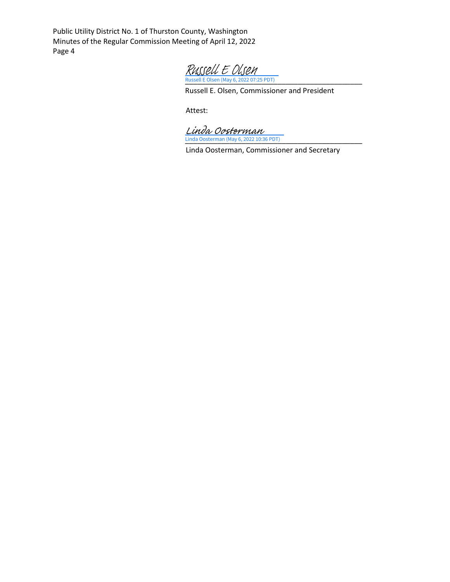Public Utility District No. 1 of Thurston County, Washington Minutes of the Regular Commission Meeting of April 12, 2022 Page 4

[\\_\\_\\_\\_\\_\\_\\_\\_\\_\\_\\_\\_\\_\\_\\_\\_\\_\\_\\_\\_\\_\\_\\_\\_\\_\\_\\_\\_\\_\\_\\_\\_\\_\\_\\_\\_\\_\\_\\_\\_\\_\\_\\_\\_](https://na1.documents.adobe.com/verifier?tx=CBJCHBCAABAAXMJ5bT5GVyMOlQY4BSyWVWl1jykKFx7k) Russell E Olsen (May 6, 2022 07:25 PDT) Russell E Olsen

Russell E. Olsen, Commissioner and President

Attest:

[\\_\\_\\_\\_\\_\\_\\_\\_\\_\\_\\_\\_\\_\\_\\_\\_\\_\\_\\_\\_\\_\\_\\_\\_\\_\\_\\_\\_\\_\\_\\_\\_\\_\\_\\_\\_\\_\\_\\_\\_\\_\\_\\_\\_](https://na1.documents.adobe.com/verifier?tx=CBJCHBCAABAAXMJ5bT5GVyMOlQY4BSyWVWl1jykKFx7k) Linda Oosterman (May 6, 2022 10:36 PDT) Linda Oosterman

Linda Oosterman, Commissioner and Secretary